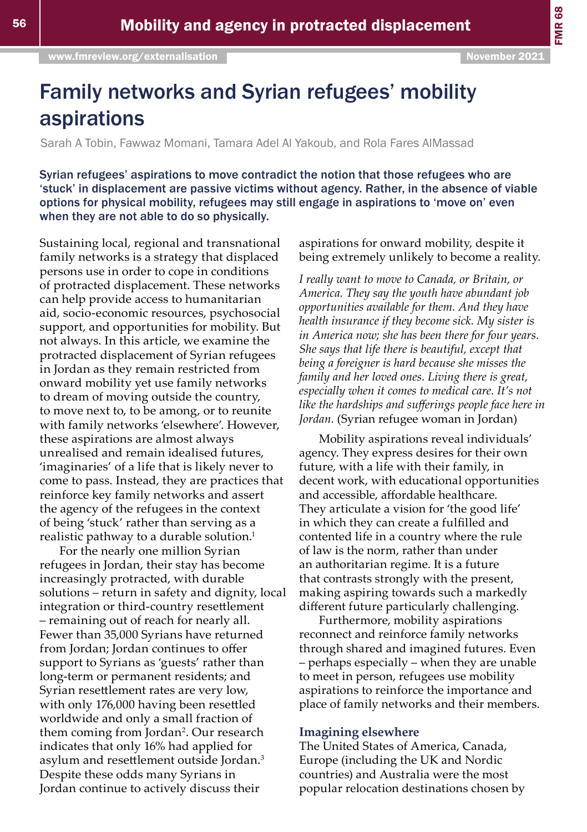FMR 68

# Family networks and Syrian refugees' mobility aspirations

Sarah A Tobin, Fawwaz Momani, Tamara Adel Al Yakoub, and Rola Fares AlMassad

Syrian refugees' aspirations to move contradict the notion that those refugees who are 'stuck' in displacement are passive victims without agency. Rather, in the absence of viable options for physical mobility, refugees may still engage in aspirations to 'move on' even when they are not able to do so physically.

Sustaining local, regional and transnational family networks is a strategy that displaced persons use in order to cope in conditions of protracted displacement. These networks can help provide access to humanitarian aid, socio-economic resources, psychosocial support, and opportunities for mobility. But not always. In this article, we examine the protracted displacement of Syrian refugees in Jordan as they remain restricted from onward mobility yet use family networks to dream of moving outside the country, to move next to, to be among, or to reunite with family networks 'elsewhere'. However, these aspirations are almost always unrealised and remain idealised futures, 'imaginaries' of a life that is likely never to come to pass. Instead, they are practices that reinforce key family networks and assert the agency of the refugees in the context of being 'stuck' rather than serving as a realistic pathway to a durable solution.<sup>1</sup>

For the nearly one million Syrian refugees in Jordan, their stay has become increasingly protracted, with durable solutions – return in safety and dignity, local integration or third-country resettlement – remaining out of reach for nearly all. Fewer than 35,000 Syrians have returned from Jordan; Jordan continues to offer support to Syrians as 'guests' rather than long-term or permanent residents; and Syrian resettlement rates are very low, with only 176,000 having been resettled worldwide and only a small fraction of them coming from Jordan<sup>2</sup>. Our research indicates that only 16% had applied for asylum and resettlement outside Jordan.<sup>3</sup> Despite these odds many Syrians in Jordan continue to actively discuss their

aspirations for onward mobility, despite it being extremely unlikely to become a reality.

*I really want to move to Canada, or Britain, or America. They say the youth have abundant job opportunities available for them. And they have health insurance if they become sick. My sister is in America now; she has been there for four years. She says that life there is beautiful, except that being a foreigner is hard because she misses the family and her loved ones. Living there is great, especially when it comes to medical care. It's not like the hardships and sufferings people face here in Jordan.* (Syrian refugee woman in Jordan)

Mobility aspirations reveal individuals' agency. They express desires for their own future, with a life with their family, in decent work, with educational opportunities and accessible, affordable healthcare. They articulate a vision for 'the good life' in which they can create a fulfilled and contented life in a country where the rule of law is the norm, rather than under an authoritarian regime. It is a future that contrasts strongly with the present, making aspiring towards such a markedly different future particularly challenging.

Furthermore, mobility aspirations reconnect and reinforce family networks through shared and imagined futures. Even – perhaps especially – when they are unable to meet in person, refugees use mobility aspirations to reinforce the importance and place of family networks and their members.

## **Imagining elsewhere**

The United States of America, Canada, Europe (including the UK and Nordic countries) and Australia were the most popular relocation destinations chosen by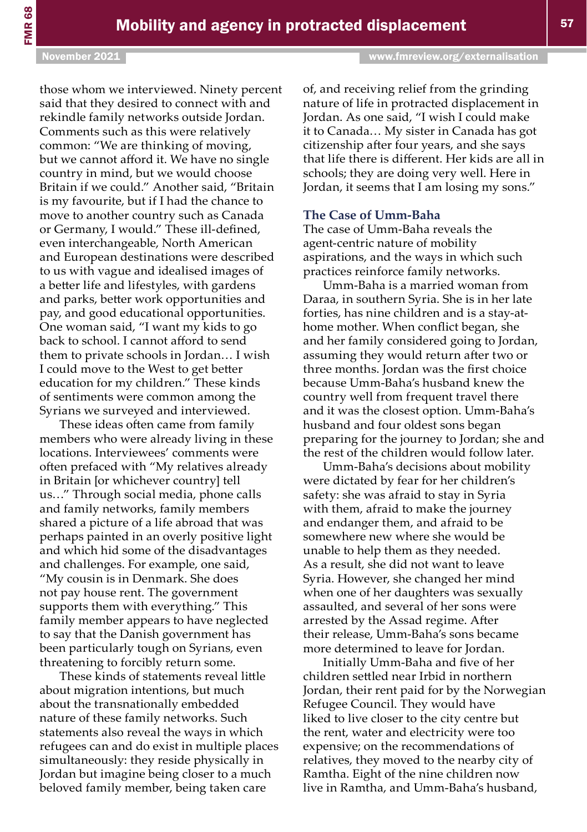those whom we interviewed. Ninety percent said that they desired to connect with and rekindle family networks outside Jordan. Comments such as this were relatively common: "We are thinking of moving, but we cannot afford it. We have no single country in mind, but we would choose Britain if we could." Another said, "Britain is my favourite, but if I had the chance to move to another country such as Canada or Germany, I would." These ill-defined, even interchangeable, North American and European destinations were described to us with vague and idealised images of a better life and lifestyles, with gardens and parks, better work opportunities and pay, and good educational opportunities. One woman said, "I want my kids to go back to school. I cannot afford to send them to private schools in Jordan… I wish I could move to the West to get better education for my children." These kinds of sentiments were common among the Syrians we surveyed and interviewed.

These ideas often came from family members who were already living in these locations. Interviewees' comments were often prefaced with "My relatives already in Britain [or whichever country] tell us…" Through social media, phone calls and family networks, family members shared a picture of a life abroad that was perhaps painted in an overly positive light and which hid some of the disadvantages and challenges. For example, one said, "My cousin is in Denmark. She does not pay house rent. The government supports them with everything." This family member appears to have neglected to say that the Danish government has been particularly tough on Syrians, even threatening to forcibly return some.

These kinds of statements reveal little about migration intentions, but much about the transnationally embedded nature of these family networks. Such statements also reveal the ways in which refugees can and do exist in multiple places simultaneously: they reside physically in Jordan but imagine being closer to a much beloved family member, being taken care

of, and receiving relief from the grinding nature of life in protracted displacement in Jordan. As one said, "I wish I could make it to Canada… My sister in Canada has got citizenship after four years, and she says that life there is different. Her kids are all in schools; they are doing very well. Here in

Jordan, it seems that I am losing my sons."

#### **The Case of Umm-Baha**

The case of Umm-Baha reveals the agent-centric nature of mobility aspirations, and the ways in which such practices reinforce family networks.

Umm-Baha is a married woman from Daraa, in southern Syria. She is in her late forties, has nine children and is a stay-athome mother. When conflict began, she and her family considered going to Jordan, assuming they would return after two or three months. Jordan was the first choice because Umm-Baha's husband knew the country well from frequent travel there and it was the closest option. Umm-Baha's husband and four oldest sons began preparing for the journey to Jordan; she and the rest of the children would follow later.

Umm-Baha's decisions about mobility were dictated by fear for her children's safety: she was afraid to stay in Syria with them, afraid to make the journey and endanger them, and afraid to be somewhere new where she would be unable to help them as they needed. As a result, she did not want to leave Syria. However, she changed her mind when one of her daughters was sexually assaulted, and several of her sons were arrested by the Assad regime. After their release, Umm-Baha's sons became more determined to leave for Jordan.

Initially Umm-Baha and five of her children settled near Irbid in northern Jordan, their rent paid for by the Norwegian Refugee Council. They would have liked to live closer to the city centre but the rent, water and electricity were too expensive; on the recommendations of relatives, they moved to the nearby city of Ramtha. Eight of the nine children now live in Ramtha, and Umm-Baha's husband,